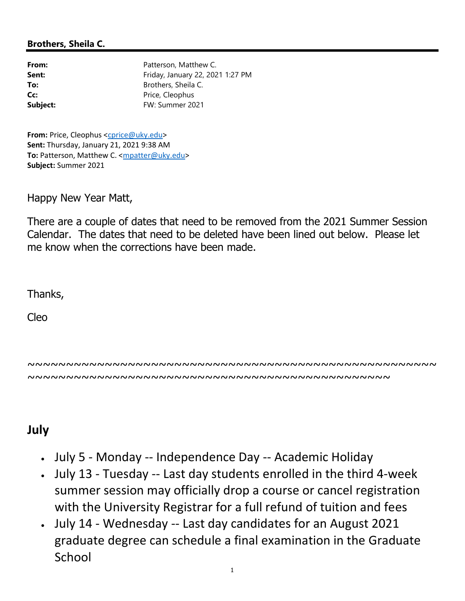## Brothers, Sheila C.

| From:    | Patterson, Matthew C.            |
|----------|----------------------------------|
| Sent:    | Friday, January 22, 2021 1:27 PM |
| To:      | Brothers, Sheila C.              |
| Cc:      | Price, Cleophus                  |
| Subject: | FW: Summer 2021                  |
|          |                                  |

From: Price, Cleophus <cprice@uky.edu> Sent: Thursday, January 21, 2021 9:38 AM To: Patterson, Matthew C. <mpatter@uky.edu> Subject: Summer 2021

Happy New Year Matt,

There are a couple of dates that need to be removed from the 2021 Summer Session Calendar. The dates that need to be deleted have been lined out below. Please let me know when the corrections have been made.

Thanks,

Cleo

~~~~~~~~~~~~~~~~~~~~~~~~~~~~~~~~~~~~~~~~~~~~~~~~~~~~~ ~~~~~~~~~~~~~~~~~~~~~~~~~~~~~~~~~~~~~~~~~~~~~~~

## July

- July 5 Monday -- Independence Day -- Academic Holiday
- July 13 Tuesday -- Last day students enrolled in the third 4-week summer session may officially drop a course or cancel registration with the University Registrar for a full refund of tuition and fees
- July 14 Wednesday -- Last day candidates for an August 2021 graduate degree can schedule a final examination in the Graduate School